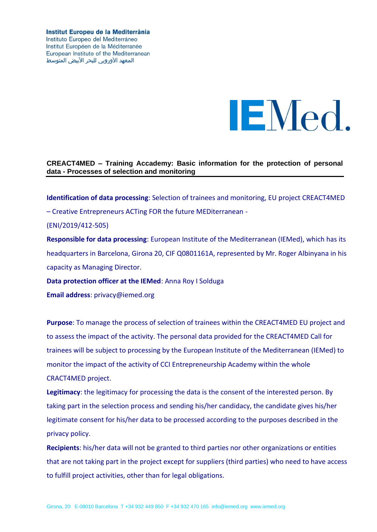Institut Europeu de la Mediterrània Instituto Europeo del Mediterráneo Institut Européen de la Méditerranée European Institute of the Mediterranean المعهد الأوروبي للبحر الأبيض المتوسط



## **CREACT4MED – Training Accademy: Basic information for the protection of personal data - Processes of selection and monitoring**

**Identification of data processing**: Selection of trainees and monitoring, EU project CREACT4MED – Creative Entrepreneurs ACTing FOR the future MEDiterranean -

## (ENI/2019/412-505)

**Responsible for data processing**: European Institute of the Mediterranean (IEMed), which has its headquarters in Barcelona, Girona 20, CIF Q0801161A, represented by Mr. Roger Albinyana in his capacity as Managing Director.

**Data protection officer at the IEMed**: Anna Roy I Solduga

**Email address**: privacy@iemed.org

**Purpose**: To manage the process of selection of trainees within the CREACT4MED EU project and to assess the impact of the activity. The personal data provided for the CREACT4MED Call for trainees will be subject to processing by the European Institute of the Mediterranean (IEMed) to monitor the impact of the activity of CCI Entrepreneurship Academy within the whole CRACT4MED project.

**Legitimacy**: the legitimacy for processing the data is the consent of the interested person. By taking part in the selection process and sending his/her candidacy, the candidate gives his/her legitimate consent for his/her data to be processed according to the purposes described in the privacy policy.

**Recipients**: his/her data will not be granted to third parties nor other organizations or entities that are not taking part in the project except for suppliers (third parties) who need to have access to fulfill project activities, other than for legal obligations.